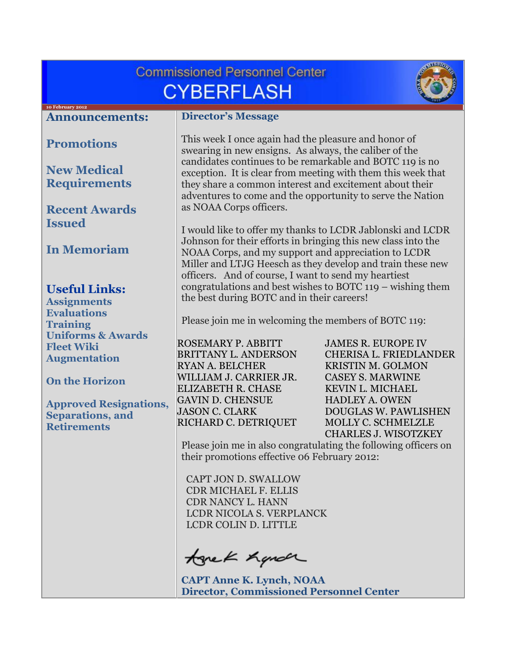<span id="page-0-0"></span>

| <b>Commissioned Personnel Center</b>                                           |                                                                                                                                                                                                                                                                                                                                                                                                |                                                                                                    |  |
|--------------------------------------------------------------------------------|------------------------------------------------------------------------------------------------------------------------------------------------------------------------------------------------------------------------------------------------------------------------------------------------------------------------------------------------------------------------------------------------|----------------------------------------------------------------------------------------------------|--|
| <b>CYBERFLASH</b>                                                              |                                                                                                                                                                                                                                                                                                                                                                                                |                                                                                                    |  |
| 10 February 2012<br><b>Announcements:</b>                                      | <b>Director's Message</b>                                                                                                                                                                                                                                                                                                                                                                      |                                                                                                    |  |
| <b>Promotions</b>                                                              | This week I once again had the pleasure and honor of<br>swearing in new ensigns. As always, the caliber of the<br>candidates continues to be remarkable and BOTC 119 is no<br>exception. It is clear from meeting with them this week that<br>they share a common interest and excitement about their<br>adventures to come and the opportunity to serve the Nation<br>as NOAA Corps officers. |                                                                                                    |  |
| <b>New Medical</b><br><b>Requirements</b>                                      |                                                                                                                                                                                                                                                                                                                                                                                                |                                                                                                    |  |
| <b>Recent Awards</b><br><b>Issued</b>                                          |                                                                                                                                                                                                                                                                                                                                                                                                |                                                                                                    |  |
| <b>In Memoriam</b>                                                             | I would like to offer my thanks to LCDR Jablonski and LCDR<br>Johnson for their efforts in bringing this new class into the<br>NOAA Corps, and my support and appreciation to LCDR<br>Miller and LTJG Heesch as they develop and train these new<br>officers. And of course, I want to send my heartiest                                                                                       |                                                                                                    |  |
| <b>Useful Links:</b><br><b>Assignments</b>                                     | congratulations and best wishes to BOTC $119 -$ wishing them<br>the best during BOTC and in their careers!<br>Please join me in welcoming the members of BOTC 119:                                                                                                                                                                                                                             |                                                                                                    |  |
| <b>Evaluations</b><br><b>Training</b>                                          |                                                                                                                                                                                                                                                                                                                                                                                                |                                                                                                    |  |
| <b>Uniforms &amp; Awards</b><br><b>Fleet Wiki</b><br><b>Augmentation</b>       | <b>ROSEMARY P. ABBITT</b><br><b>BRITTANY L. ANDERSON</b><br><b>RYAN A. BELCHER</b>                                                                                                                                                                                                                                                                                                             | <b>JAMES R. EUROPE IV</b><br>CHERISA L. FRIEDLANDER<br><b>KRISTIN M. GOLMON</b>                    |  |
| <b>On the Horizon</b>                                                          | WILLIAM J. CARRIER JR.<br><b>ELIZABETH R. CHASE</b>                                                                                                                                                                                                                                                                                                                                            | <b>CASEY S. MARWINE</b><br>KEVIN L. MICHAEL                                                        |  |
| <b>Approved Resignations,</b><br><b>Separations, and</b><br><b>Retirements</b> | <b>GAVIN D. CHENSUE</b><br><b>JASON C. CLARK</b><br>RICHARD C. DETRIQUET                                                                                                                                                                                                                                                                                                                       | <b>HADLEY A. OWEN</b><br>DOUGLAS W. PAWLISHEN<br>MOLLY C. SCHMELZLE<br><b>CHARLES J. WISOTZKEY</b> |  |
|                                                                                | Please join me in also congratulating the following officers on<br>their promotions effective 06 February 2012:                                                                                                                                                                                                                                                                                |                                                                                                    |  |
|                                                                                | CAPT JON D. SWALLOW<br><b>CDR MICHAEL F. ELLIS</b><br><b>CDR NANCY L. HANN</b>                                                                                                                                                                                                                                                                                                                 |                                                                                                    |  |
|                                                                                | LCDR NICOLA S. VERPLANCK<br>LCDR COLIN D. LITTLE                                                                                                                                                                                                                                                                                                                                               |                                                                                                    |  |
|                                                                                | tonek hande                                                                                                                                                                                                                                                                                                                                                                                    |                                                                                                    |  |
|                                                                                | <b>CAPT Anne K. Lynch, NOAA</b><br><b>Director, Commissioned Personnel Center</b>                                                                                                                                                                                                                                                                                                              |                                                                                                    |  |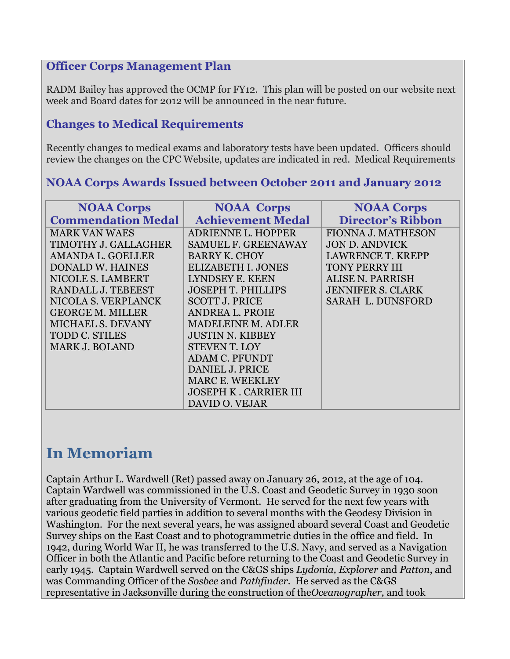### **Officer Corps Management Plan**

RADM Bailey has approved the OCMP for FY12. This plan will be posted on our website next week and Board dates for 2012 will be announced in the near future.

## <span id="page-1-0"></span>**Changes to Medical Requirements**

Recently changes to medical exams and laboratory tests have been updated. Officers should review the changes on the CPC Website, updates are indicated in red. Medical Requirements

### <span id="page-1-1"></span>**NOAA Corps Awards Issued between October 2011 and January 2012**

| <b>NOAA Corps</b>         | <b>NOAA Corps</b>            | <b>NOAA Corps</b>         |
|---------------------------|------------------------------|---------------------------|
| <b>Commendation Medal</b> | <b>Achievement Medal</b>     | <b>Director's Ribbon</b>  |
| <b>MARK VAN WAES</b>      | <b>ADRIENNE L. HOPPER</b>    | <b>FIONNA J. MATHESON</b> |
| TIMOTHY J. GALLAGHER      | <b>SAMUEL F. GREENAWAY</b>   | <b>JON D. ANDVICK</b>     |
| AMANDA L. GOELLER         | <b>BARRY K. CHOY</b>         | <b>LAWRENCE T. KREPP</b>  |
| <b>DONALD W. HAINES</b>   | <b>ELIZABETH I. JONES</b>    | <b>TONY PERRY III</b>     |
| NICOLE S. LAMBERT         | LYNDSEY E. KEEN              | ALISE N. PARRISH          |
| RANDALL J. TEBEEST        | <b>JOSEPH T. PHILLIPS</b>    | <b>JENNIFER S. CLARK</b>  |
| NICOLA S. VERPLANCK       | <b>SCOTT J. PRICE</b>        | <b>SARAH L. DUNSFORD</b>  |
| <b>GEORGE M. MILLER</b>   | ANDREA L. PROIE              |                           |
| <b>MICHAEL S. DEVANY</b>  | <b>MADELEINE M. ADLER</b>    |                           |
| <b>TODD C. STILES</b>     | <b>JUSTIN N. KIBBEY</b>      |                           |
| <b>MARK J. BOLAND</b>     | <b>STEVEN T. LOY</b>         |                           |
|                           | <b>ADAM C. PFUNDT</b>        |                           |
|                           | <b>DANIEL J. PRICE</b>       |                           |
|                           | <b>MARC E. WEEKLEY</b>       |                           |
|                           | <b>JOSEPH K. CARRIER III</b> |                           |
|                           | DAVID O. VEJAR               |                           |

# <span id="page-1-2"></span>**In Memoriam**

Captain Arthur L. Wardwell (Ret) passed away on January 26, 2012, at the age of 104. Captain Wardwell was commissioned in the U.S. Coast and Geodetic Survey in 1930 soon after graduating from the University of Vermont. He served for the next few years with various geodetic field parties in addition to several months with the Geodesy Division in Washington. For the next several years, he was assigned aboard several Coast and Geodetic Survey ships on the East Coast and to photogrammetric duties in the office and field. In 1942, during World War II, he was transferred to the U.S. Navy, and served as a Navigation Officer in both the Atlantic and Pacific before returning to the Coast and Geodetic Survey in early 1945. Captain Wardwell served on the C&GS ships *Lydonia, Explorer* and *Patton*, and was Commanding Officer of the *Sosbee* and *Pathfinder.* He served as the C&GS representative in Jacksonville during the construction of the*Oceanographer,* and took